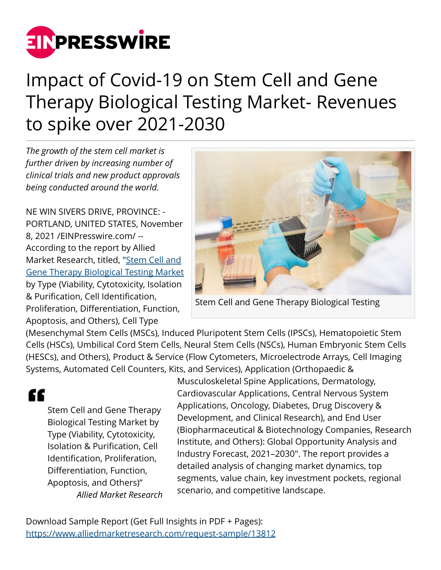

## Impact of Covid-19 on Stem Cell and Gene Therapy Biological Testing Market- Revenues to spike over 2021-2030

*The growth of the stem cell market is further driven by increasing number of clinical trials and new product approvals being conducted around the world.*

NE WIN SIVERS DRIVE, PROVINCE: - PORTLAND, UNITED STATES, November 8, 2021 /[EINPresswire.com/](http://www.einpresswire.com) -- According to the report by Allied Market Research, titled, ["Stem Cell and](https://www.alliedmarketresearch.com/stem-cell-and-gene-therapy-biological-testing-market-A13443) [Gene Therapy Biological Testing Market](https://www.alliedmarketresearch.com/stem-cell-and-gene-therapy-biological-testing-market-A13443) by Type (Viability, Cytotoxicity, Isolation & Purification, Cell Identification, Proliferation, Differentiation, Function, Apoptosis, and Others), Cell Type



Stem Cell and Gene Therapy Biological Testing

(Mesenchymal Stem Cells (MSCs), Induced Pluripotent Stem Cells (IPSCs), Hematopoietic Stem Cells (HSCs), Umbilical Cord Stem Cells, Neural Stem Cells (NSCs), Human Embryonic Stem Cells (HESCs), and Others), Product & Service (Flow Cytometers, Microelectrode Arrays, Cell Imaging Systems, Automated Cell Counters, Kits, and Services), Application (Orthopaedic &

## ££

Stem Cell and Gene Therapy Biological Testing Market by Type (Viability, Cytotoxicity, Isolation & Purification, Cell Identification, Proliferation, Differentiation, Function, Apoptosis, and Others)" *Allied Market Research*

Musculoskeletal Spine Applications, Dermatology, Cardiovascular Applications, Central Nervous System Applications, Oncology, Diabetes, Drug Discovery & Development, and Clinical Research), and End User (Biopharmaceutical & Biotechnology Companies, Research Institute, and Others): Global Opportunity Analysis and Industry Forecast, 2021–2030". The report provides a detailed analysis of changing market dynamics, top segments, value chain, key investment pockets, regional scenario, and competitive landscape.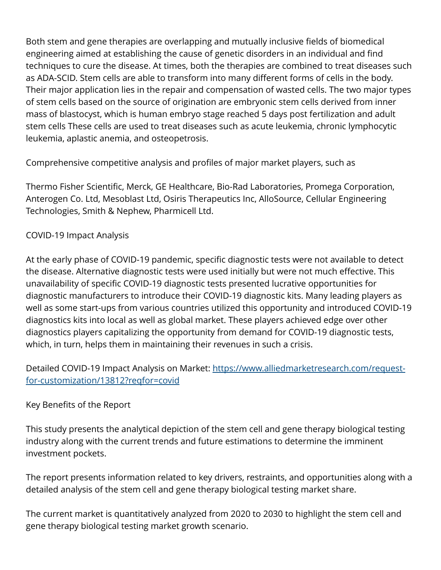Both stem and gene therapies are overlapping and mutually inclusive fields of biomedical engineering aimed at establishing the cause of genetic disorders in an individual and find techniques to cure the disease. At times, both the therapies are combined to treat diseases such as ADA-SCID. Stem cells are able to transform into many different forms of cells in the body. Their major application lies in the repair and compensation of wasted cells. The two major types of stem cells based on the source of origination are embryonic stem cells derived from inner mass of blastocyst, which is human embryo stage reached 5 days post fertilization and adult stem cells These cells are used to treat diseases such as acute leukemia, chronic lymphocytic leukemia, aplastic anemia, and osteopetrosis.

Comprehensive competitive analysis and profiles of major market players, such as

Thermo Fisher Scientific, Merck, GE Healthcare, Bio-Rad Laboratories, Promega Corporation, Anterogen Co. Ltd, Mesoblast Ltd, Osiris Therapeutics Inc, AlloSource, Cellular Engineering Technologies, Smith & Nephew, Pharmicell Ltd.

## COVID-19 Impact Analysis

At the early phase of COVID-19 pandemic, specific diagnostic tests were not available to detect the disease. Alternative diagnostic tests were used initially but were not much effective. This unavailability of specific COVID-19 diagnostic tests presented lucrative opportunities for diagnostic manufacturers to introduce their COVID-19 diagnostic kits. Many leading players as well as some start-ups from various countries utilized this opportunity and introduced COVID-19 diagnostics kits into local as well as global market. These players achieved edge over other diagnostics players capitalizing the opportunity from demand for COVID-19 diagnostic tests, which, in turn, helps them in maintaining their revenues in such a crisis.

Detailed COVID-19 Impact Analysis on Market: [https://www.alliedmarketresearch.com/request](https://www.alliedmarketresearch.com/request-for-customization/13812?reqfor=covid)[for-customization/13812?reqfor=covid](https://www.alliedmarketresearch.com/request-for-customization/13812?reqfor=covid)

## Key Benefits of the Report

This study presents the analytical depiction of the stem cell and gene therapy biological testing industry along with the current trends and future estimations to determine the imminent investment pockets.

The report presents information related to key drivers, restraints, and opportunities along with a detailed analysis of the stem cell and gene therapy biological testing market share.

The current market is quantitatively analyzed from 2020 to 2030 to highlight the stem cell and gene therapy biological testing market growth scenario.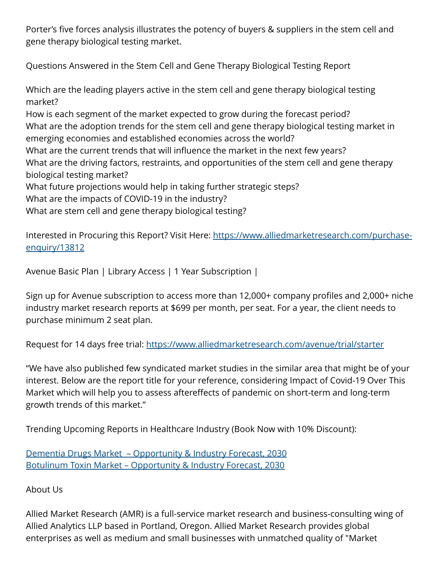Porter's five forces analysis illustrates the potency of buyers & suppliers in the stem cell and gene therapy biological testing market.

Questions Answered in the Stem Cell and Gene Therapy Biological Testing Report

Which are the leading players active in the stem cell and gene therapy biological testing market?

How is each segment of the market expected to grow during the forecast period? What are the adoption trends for the stem cell and gene therapy biological testing market in emerging economies and established economies across the world?

What are the current trends that will influence the market in the next few years?

What are the driving factors, restraints, and opportunities of the stem cell and gene therapy biological testing market?

What future projections would help in taking further strategic steps?

What are the impacts of COVID-19 in the industry?

What are stem cell and gene therapy biological testing?

Interested in Procuring this Report? Visit Here: [https://www.alliedmarketresearch.com/purchase](https://www.alliedmarketresearch.com/purchase-enquiry/13812)[enquiry/13812](https://www.alliedmarketresearch.com/purchase-enquiry/13812)

Avenue Basic Plan | Library Access | 1 Year Subscription |

Sign up for Avenue subscription to access more than 12,000+ company profiles and 2,000+ niche industry market research reports at \$699 per month, per seat. For a year, the client needs to purchase minimum 2 seat plan.

Request for 14 days free trial:<https://www.alliedmarketresearch.com/avenue/trial/starter>

"We have also published few syndicated market studies in the similar area that might be of your interest. Below are the report title for your reference, considering Impact of Covid-19 Over This Market which will help you to assess aftereffects of pandemic on short-term and long-term growth trends of this market."

Trending Upcoming Reports in Healthcare Industry (Book Now with 10% Discount):

[Dementia Drugs Market – Opportunity & Industry Forecast, 2030](https://www.alliedmarketresearch.com/dementia-drugs-market-A12014) [Botulinum Toxin Market – Opportunity & Industry Forecast, 2030](https://www.alliedmarketresearch.com/botulinum-toxin-market-A11935)

About Us

Allied Market Research (AMR) is a full-service market research and business-consulting wing of Allied Analytics LLP based in Portland, Oregon. Allied Market Research provides global enterprises as well as medium and small businesses with unmatched quality of "Market